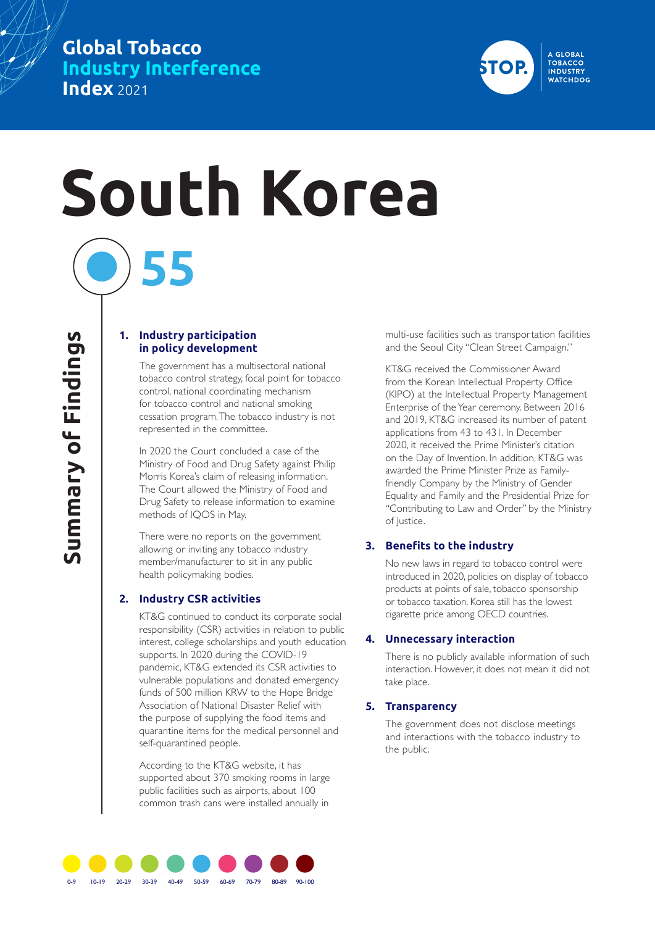# **Global Tobacco Industry Interference Index** 2021



# **South Korea 55**

#### **1. Industry participation in policy development**

The government has a multisectoral national tobacco control strategy, focal point for tobacco control, national coordinating mechanism for tobacco control and national smoking cessation program. The tobacco industry is not represented in the committee.

In 2020 the Court concluded a case of the Ministry of Food and Drug Safety against Philip Morris Korea's claim of releasing information. The Court allowed the Ministry of Food and Drug Safety to release information to examine methods of IQOS in May.

There were no reports on the government allowing or inviting any tobacco industry member/manufacturer to sit in any public health policymaking bodies.

## **2. Industry CSR activities**

KT&G continued to conduct its corporate social responsibility (CSR) activities in relation to public interest, college scholarships and youth education supports. In 2020 during the COVID-19 pandemic, KT&G extended its CSR activities to vulnerable populations and donated emergency funds of 500 million KRW to the Hope Bridge Association of National Disaster Relief with the purpose of supplying the food items and quarantine items for the medical personnel and self-quarantined people.

According to the KT&G website, it has supported about 370 smoking rooms in large public facilities such as airports, about 100 common trash cans were installed annually in

multi-use facilities such as transportation facilities and the Seoul City "Clean Street Campaign."

KT&G received the Commissioner Award from the Korean Intellectual Property Office (KIPO) at the Intellectual Property Management Enterprise of the Year ceremony. Between 2016 and 2019, KT&G increased its number of patent applications from 43 to 431. In December 2020, it received the Prime Minister's citation on the Day of Invention. In addition, KT&G was awarded the Prime Minister Prize as Familyfriendly Company by the Ministry of Gender Equality and Family and the Presidential Prize for "Contributing to Law and Order" by the Ministry of Justice.

#### **3. Benefits to the industry**

No new laws in regard to tobacco control were introduced in 2020, policies on display of tobacco products at points of sale, tobacco sponsorship or tobacco taxation. Korea still has the lowest cigarette price among OECD countries.

#### **4. Unnecessary interaction**

There is no publicly available information of such interaction. However, it does not mean it did not take place.

#### **5. Transparency**

The government does not disclose meetings and interactions with the tobacco industry to the public.